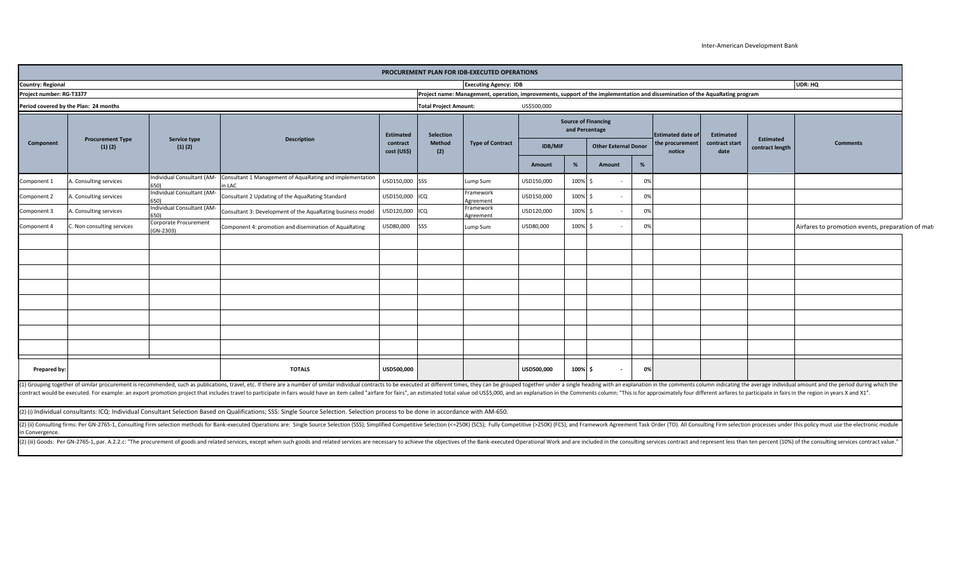## Inter-American Development Bank

| <b>Country: Regional</b><br>Project name: Management, operation, improvements, support of the implementation and dissemination of the AquaRating program<br>Project number: RG-T3377<br><b>Total Project Amount:</b><br>US\$500,000<br>Period covered by the Plan: 24 months<br><b>Source of Financing</b><br>and Percentage<br><b>Estimated</b><br>Selection<br><b>Estimated date of</b><br><b>Estimated</b><br>Service type<br><b>Description</b><br><b>Procurement Type</b><br>Estimated<br><b>Method</b><br><b>Type of Contract</b><br>the procurement<br>contract start<br>Component<br><b>Comments</b><br>contract<br><b>IDB/MIF</b><br><b>Other External Donor</b><br>(1)(2)<br>(1)(2)<br>contract length<br>cost (US\$)<br>(2)<br>date<br>notice<br>%<br>%<br>Amount<br>Amount<br>Individual Consultant (AM- Consultant 1 Management of AquaRating and implementation<br>USD150,000 SSS<br>USD150,000<br>100% \$<br>0%<br>A. Consulting services<br>Component 1<br>Lump Sum<br>n LAC<br>Individual Consultant (AM-<br>Framework<br>USD150,000<br>100% \$<br>0%<br>USD150,000<br>Component 2<br>Consulting services<br>Consultant 2 Updating of the AquaRating Standard<br>ICQ<br>Agreement<br>Individual Consultant (AM-<br>Framework<br>100%<br>USD120,000<br>USD120,000<br>0%<br>A. Consulting services<br>Consultant 3: Development of the AquaRating business model<br>ICQ<br>Component 3<br>Agreement<br>Corporate Procurement<br>USD80,000<br>100% \$<br>Component 4: promotion and disemination of AquaRating<br>SSS<br>USD80,000<br>0%<br>C. Non consulting services<br>Lump Sum<br>Airfares to promotion events, preparation of mate<br>Component 4<br>$(GN-2303)$<br>100% \$<br><b>TOTALS</b><br>USD500,000<br>USD500,000<br>0%<br>Prepared by:<br>(1) Grouping together of similar procurement is recommended, such as publications, travel, etc. If there are a number of similar individual contracts to be executed at different times, they can be grouped together under a |  |  |  | <b>Executing Agency: IDB</b> |  |  |  |  |  | UDR: HQ |
|----------------------------------------------------------------------------------------------------------------------------------------------------------------------------------------------------------------------------------------------------------------------------------------------------------------------------------------------------------------------------------------------------------------------------------------------------------------------------------------------------------------------------------------------------------------------------------------------------------------------------------------------------------------------------------------------------------------------------------------------------------------------------------------------------------------------------------------------------------------------------------------------------------------------------------------------------------------------------------------------------------------------------------------------------------------------------------------------------------------------------------------------------------------------------------------------------------------------------------------------------------------------------------------------------------------------------------------------------------------------------------------------------------------------------------------------------------------------------------------------------------------------------------------------------------------------------------------------------------------------------------------------------------------------------------------------------------------------------------------------------------------------------------------------------------------------------------------------------------------------------------------------------------------------------------------------------------------------------------------------------|--|--|--|------------------------------|--|--|--|--|--|---------|
|                                                                                                                                                                                                                                                                                                                                                                                                                                                                                                                                                                                                                                                                                                                                                                                                                                                                                                                                                                                                                                                                                                                                                                                                                                                                                                                                                                                                                                                                                                                                                                                                                                                                                                                                                                                                                                                                                                                                                                                                    |  |  |  |                              |  |  |  |  |  |         |
|                                                                                                                                                                                                                                                                                                                                                                                                                                                                                                                                                                                                                                                                                                                                                                                                                                                                                                                                                                                                                                                                                                                                                                                                                                                                                                                                                                                                                                                                                                                                                                                                                                                                                                                                                                                                                                                                                                                                                                                                    |  |  |  |                              |  |  |  |  |  |         |
|                                                                                                                                                                                                                                                                                                                                                                                                                                                                                                                                                                                                                                                                                                                                                                                                                                                                                                                                                                                                                                                                                                                                                                                                                                                                                                                                                                                                                                                                                                                                                                                                                                                                                                                                                                                                                                                                                                                                                                                                    |  |  |  |                              |  |  |  |  |  |         |
|                                                                                                                                                                                                                                                                                                                                                                                                                                                                                                                                                                                                                                                                                                                                                                                                                                                                                                                                                                                                                                                                                                                                                                                                                                                                                                                                                                                                                                                                                                                                                                                                                                                                                                                                                                                                                                                                                                                                                                                                    |  |  |  |                              |  |  |  |  |  |         |
|                                                                                                                                                                                                                                                                                                                                                                                                                                                                                                                                                                                                                                                                                                                                                                                                                                                                                                                                                                                                                                                                                                                                                                                                                                                                                                                                                                                                                                                                                                                                                                                                                                                                                                                                                                                                                                                                                                                                                                                                    |  |  |  |                              |  |  |  |  |  |         |
|                                                                                                                                                                                                                                                                                                                                                                                                                                                                                                                                                                                                                                                                                                                                                                                                                                                                                                                                                                                                                                                                                                                                                                                                                                                                                                                                                                                                                                                                                                                                                                                                                                                                                                                                                                                                                                                                                                                                                                                                    |  |  |  |                              |  |  |  |  |  |         |
|                                                                                                                                                                                                                                                                                                                                                                                                                                                                                                                                                                                                                                                                                                                                                                                                                                                                                                                                                                                                                                                                                                                                                                                                                                                                                                                                                                                                                                                                                                                                                                                                                                                                                                                                                                                                                                                                                                                                                                                                    |  |  |  |                              |  |  |  |  |  |         |
|                                                                                                                                                                                                                                                                                                                                                                                                                                                                                                                                                                                                                                                                                                                                                                                                                                                                                                                                                                                                                                                                                                                                                                                                                                                                                                                                                                                                                                                                                                                                                                                                                                                                                                                                                                                                                                                                                                                                                                                                    |  |  |  |                              |  |  |  |  |  |         |
|                                                                                                                                                                                                                                                                                                                                                                                                                                                                                                                                                                                                                                                                                                                                                                                                                                                                                                                                                                                                                                                                                                                                                                                                                                                                                                                                                                                                                                                                                                                                                                                                                                                                                                                                                                                                                                                                                                                                                                                                    |  |  |  |                              |  |  |  |  |  |         |
|                                                                                                                                                                                                                                                                                                                                                                                                                                                                                                                                                                                                                                                                                                                                                                                                                                                                                                                                                                                                                                                                                                                                                                                                                                                                                                                                                                                                                                                                                                                                                                                                                                                                                                                                                                                                                                                                                                                                                                                                    |  |  |  |                              |  |  |  |  |  |         |
|                                                                                                                                                                                                                                                                                                                                                                                                                                                                                                                                                                                                                                                                                                                                                                                                                                                                                                                                                                                                                                                                                                                                                                                                                                                                                                                                                                                                                                                                                                                                                                                                                                                                                                                                                                                                                                                                                                                                                                                                    |  |  |  |                              |  |  |  |  |  |         |
|                                                                                                                                                                                                                                                                                                                                                                                                                                                                                                                                                                                                                                                                                                                                                                                                                                                                                                                                                                                                                                                                                                                                                                                                                                                                                                                                                                                                                                                                                                                                                                                                                                                                                                                                                                                                                                                                                                                                                                                                    |  |  |  |                              |  |  |  |  |  |         |
|                                                                                                                                                                                                                                                                                                                                                                                                                                                                                                                                                                                                                                                                                                                                                                                                                                                                                                                                                                                                                                                                                                                                                                                                                                                                                                                                                                                                                                                                                                                                                                                                                                                                                                                                                                                                                                                                                                                                                                                                    |  |  |  |                              |  |  |  |  |  |         |
|                                                                                                                                                                                                                                                                                                                                                                                                                                                                                                                                                                                                                                                                                                                                                                                                                                                                                                                                                                                                                                                                                                                                                                                                                                                                                                                                                                                                                                                                                                                                                                                                                                                                                                                                                                                                                                                                                                                                                                                                    |  |  |  |                              |  |  |  |  |  |         |
|                                                                                                                                                                                                                                                                                                                                                                                                                                                                                                                                                                                                                                                                                                                                                                                                                                                                                                                                                                                                                                                                                                                                                                                                                                                                                                                                                                                                                                                                                                                                                                                                                                                                                                                                                                                                                                                                                                                                                                                                    |  |  |  |                              |  |  |  |  |  |         |
|                                                                                                                                                                                                                                                                                                                                                                                                                                                                                                                                                                                                                                                                                                                                                                                                                                                                                                                                                                                                                                                                                                                                                                                                                                                                                                                                                                                                                                                                                                                                                                                                                                                                                                                                                                                                                                                                                                                                                                                                    |  |  |  |                              |  |  |  |  |  |         |
|                                                                                                                                                                                                                                                                                                                                                                                                                                                                                                                                                                                                                                                                                                                                                                                                                                                                                                                                                                                                                                                                                                                                                                                                                                                                                                                                                                                                                                                                                                                                                                                                                                                                                                                                                                                                                                                                                                                                                                                                    |  |  |  |                              |  |  |  |  |  |         |
| contract would be executed. For example: an export promotion project that includes travel to participate in fairs would have an item called "airfare for fairs", an estimated total value od US\$5,000, and an explanation in t                                                                                                                                                                                                                                                                                                                                                                                                                                                                                                                                                                                                                                                                                                                                                                                                                                                                                                                                                                                                                                                                                                                                                                                                                                                                                                                                                                                                                                                                                                                                                                                                                                                                                                                                                                    |  |  |  |                              |  |  |  |  |  |         |
| (2) (i) Individual consultants: ICQ: Individual Consultant Selection Based on Qualifications; SSS: Single Source Selection. Selection process to be done in accordance with AM-650.                                                                                                                                                                                                                                                                                                                                                                                                                                                                                                                                                                                                                                                                                                                                                                                                                                                                                                                                                                                                                                                                                                                                                                                                                                                                                                                                                                                                                                                                                                                                                                                                                                                                                                                                                                                                                |  |  |  |                              |  |  |  |  |  |         |

in Convergence.

(2) (iii) Goods: Per GN-2765-1, par. A.2.2.c: "The procurement of goods and related services, except when such goods and related services are necessary to achieve the objectives of the Bank-executed Operational Work and ar